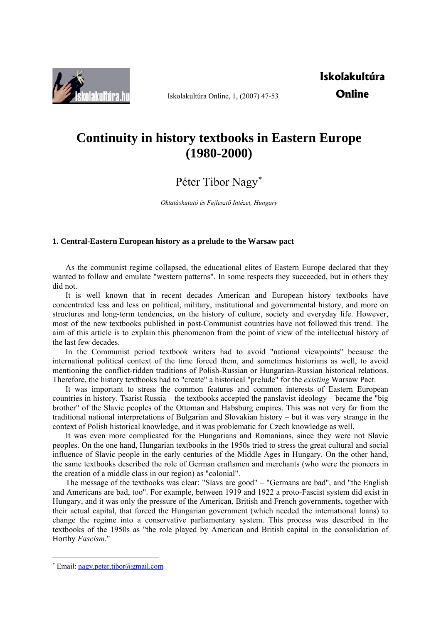

Iskolakultúra Online, 1, (2007) 47-53

# **Continuity in history textbooks in Eastern Europe (1980-2000)**

Péter Tibor Nagy[∗](#page-0-0)

*Oktatáskutató és Fejlesztő Intézet, Hungary* 

## **1. Central-Eastern European history as a prelude to the Warsaw pact**

As the communist regime collapsed, the educational elites of Eastern Europe declared that they wanted to follow and emulate "western patterns". In some respects they succeeded, but in others they did not.

It is well known that in recent decades American and European history textbooks have concentrated less and less on political, military, institutional and governmental history, and more on structures and long-term tendencies, on the history of culture, society and everyday life. However, most of the new textbooks published in post-Communist countries have not followed this trend. The aim of this article is to explain this phenomenon from the point of view of the intellectual history of the last few decades.

In the Communist period textbook writers had to avoid "national viewpoints" because the international political context of the time forced them, and sometimes historians as well, to avoid mentioning the conflict-ridden traditions of Polish-Russian or Hungarian-Russian historical relations. Therefore, the history textbooks had to "create" a historical "prelude" for the *existing* Warsaw Pact.

It was important to stress the common features and common interests of Eastern European countries in history. Tsarist Russia – the textbooks accepted the panslavist ideology – became the "big brother" of the Slavic peoples of the Ottoman and Habsburg empires. This was not very far from the traditional national interpretations of Bulgarian and Slovakian history – but it was very strange in the context of Polish historical knowledge, and it was problematic for Czech knowledge as well.

It was even more complicated for the Hungarians and Romanians, since they were not Slavic peoples. On the one hand, Hungarian textbooks in the 1950s tried to stress the great cultural and social influence of Slavic people in the early centuries of the Middle Ages in Hungary. On the other hand, the same textbooks described the role of German craftsmen and merchants (who were the pioneers in the creation of a middle class in our region) as "colonial".

The message of the textbooks was clear: "Slavs are good" – "Germans are bad", and "the English and Americans are bad, too". For example, between 1919 and 1922 a proto-Fascist system did exist in Hungary, and it was only the pressure of the American, British and French governments, together with their actual capital, that forced the Hungarian government (which needed the international loans) to change the regime into a conservative parliamentary system. This process was described in the textbooks of the 1950s as "the role played by American and British capital in the consolidation of Horthy *Fascism*."

1

<span id="page-0-0"></span><sup>∗</sup> Email: [nagy.peter.tibor@gmail.com](mailto:nagy.peter.tibor@gmail.com)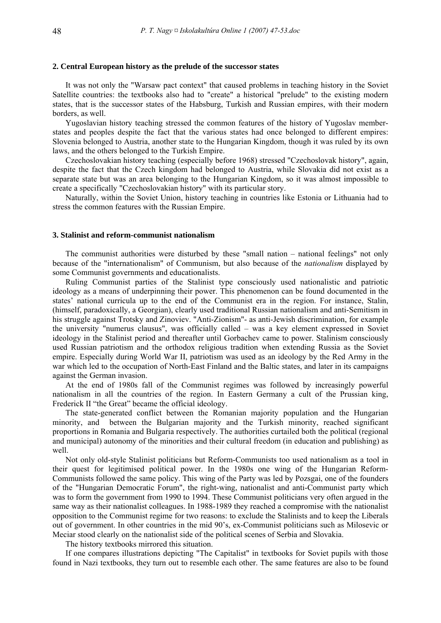## **2. Central European history as the prelude of the successor states**

It was not only the "Warsaw pact context" that caused problems in teaching history in the Soviet Satellite countries: the textbooks also had to "create" a historical "prelude" to the existing modern states, that is the successor states of the Habsburg, Turkish and Russian empires, with their modern borders, as well.

Yugoslavian history teaching stressed the common features of the history of Yugoslav memberstates and peoples despite the fact that the various states had once belonged to different empires: Slovenia belonged to Austria, another state to the Hungarian Kingdom, though it was ruled by its own laws, and the others belonged to the Turkish Empire.

Czechoslovakian history teaching (especially before 1968) stressed "Czechoslovak history", again, despite the fact that the Czech kingdom had belonged to Austria, while Slovakia did not exist as a separate state but was an area belonging to the Hungarian Kingdom, so it was almost impossible to create a specifically "Czechoslovakian history" with its particular story.

Naturally, within the Soviet Union, history teaching in countries like Estonia or Lithuania had to stress the common features with the Russian Empire.

#### **3. Stalinist and reform-communist nationalism**

The communist authorities were disturbed by these "small nation – national feelings" not only because of the "internationalism" of Communism, but also because of the *nationalism* displayed by some Communist governments and educationalists.

Ruling Communist parties of the Stalinist type consciously used nationalistic and patriotic ideology as a means of underpinning their power. This phenomenon can be found documented in the states' national curricula up to the end of the Communist era in the region. For instance, Stalin, (himself, paradoxically, a Georgian), clearly used traditional Russian nationalism and anti-Semitism in his struggle against Trotsky and Zinoviev. "Anti-Zionism"- as anti-Jewish discrimination, for example the university "numerus clausus", was officially called – was a key element expressed in Soviet ideology in the Stalinist period and thereafter until Gorbachev came to power. Stalinism consciously used Russian patriotism and the orthodox religious tradition when extending Russia as the Soviet empire. Especially during World War II, patriotism was used as an ideology by the Red Army in the war which led to the occupation of North-East Finland and the Baltic states, and later in its campaigns against the German invasion.

At the end of 1980s fall of the Communist regimes was followed by increasingly powerful nationalism in all the countries of the region. In Eastern Germany a cult of the Prussian king, Frederick II "the Great" became the official ideology.

The state-generated conflict between the Romanian majority population and the Hungarian minority, and between the Bulgarian majority and the Turkish minority, reached significant proportions in Romania and Bulgaria respectively. The authorities curtailed both the political (regional and municipal) autonomy of the minorities and their cultural freedom (in education and publishing) as well.

Not only old-style Stalinist politicians but Reform-Communists too used nationalism as a tool in their quest for legitimised political power. In the 1980s one wing of the Hungarian Reform-Communists followed the same policy. This wing of the Party was led by Pozsgai, one of the founders of the "Hungarian Democratic Forum", the right-wing, nationalist and anti-Communist party which was to form the government from 1990 to 1994. These Communist politicians very often argued in the same way as their nationalist colleagues. In 1988-1989 they reached a compromise with the nationalist opposition to the Communist regime for two reasons: to exclude the Stalinists and to keep the Liberals out of government. In other countries in the mid 90's, ex-Communist politicians such as Milosevic or Meciar stood clearly on the nationalist side of the political scenes of Serbia and Slovakia.

The history textbooks mirrored this situation.

If one compares illustrations depicting "The Capitalist" in textbooks for Soviet pupils with those found in Nazi textbooks, they turn out to resemble each other. The same features are also to be found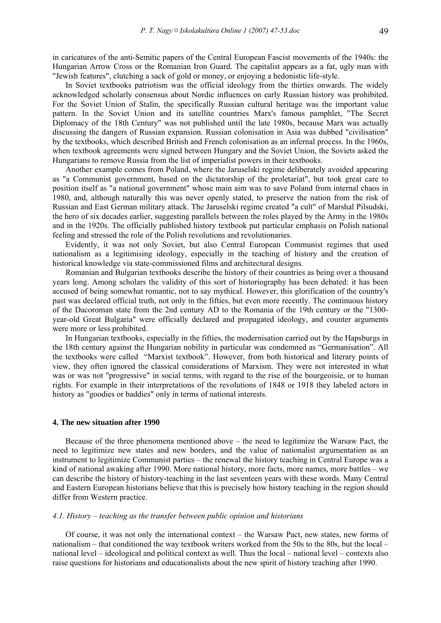in caricatures of the anti-Semitic papers of the Central European Fascist movements of the 1940s: the Hungarian Arrow Cross or the Romanian Iron Guard. The capitalist appears as a fat, ugly man with "Jewish features", clutching a sack of gold or money, or enjoying a hedonistic life-style.

In Soviet textbooks patriotism was the official ideology from the thirties onwards. The widely acknowledged scholarly consensus about Nordic influences on early Russian history was prohibited. For the Soviet Union of Stalin, the specifically Russian cultural heritage was the important value pattern. In the Soviet Union and its satellite countries Marx's famous pamphlet, "The Secret Diplomacy of the 18th Century" was not published until the late 1980s, because Marx was actually discussing the dangers of Russian expansion. Russian colonisation in Asia was dubbed "civilisation" by the textbooks, which described British and French colonisation as an infernal process. In the 1960s, when textbook agreements were signed between Hungary and the Soviet Union, the Soviets asked the Hungarians to remove Russia from the list of imperialist powers in their textbooks.

Another example comes from Poland, where the Jaruselski regime deliberately avoided appearing as "a Communist government, based on the dictatorship of the proletariat", but took great care to position itself as "a national government" whose main aim was to save Poland from internal chaos in 1980, and, although naturally this was never openly stated, to preserve the nation from the risk of Russian and East German military attack. The Jaruselski regime created "a cult" of Marshal Pilsudski, the hero of six decades earlier, suggesting parallels between the roles played by the Army in the 1980s and in the 1920s. The officially published history textbook put particular emphasis on Polish national feeling and stressed the role of the Polish revolutions and revolutionaries.

Evidently, it was not only Soviet, but also Central European Communist regimes that used nationalism as a legitimising ideology, especially in the teaching of history and the creation of historical knowledge via state-commissioned films and architectural designs.

Romanian and Bulgarian textbooks describe the history of their countries as being over a thousand years long. Among scholars the validity of this sort of historiography has been debated: it has been accused of being somewhat romantic, not to say mythical. However, this glorification of the country's past was declared official truth, not only in the fifties, but even more recently. The continuous history of the Dacoroman state from the 2nd century AD to the Romania of the 19th century or the "1300 year-old Great Bulgaria" were officially declared and propagated ideology, and counter arguments were more or less prohibited.

In Hungarian textbooks, especially in the fifties, the modernisation carried out by the Hapsburgs in the 18th century against the Hungarian nobility in particular was condemned as "Germanisation". All the textbooks were called "Marxist textbook". However, from both historical and literary points of view, they often ignored the classical considerations of Marxism. They were not interested in what was or was not "progressive" in social terms, with regard to the rise of the bourgeoisie, or to human rights. For example in their interpretations of the revolutions of 1848 or 1918 they labeled actors in history as "goodies or baddies" only in terms of national interests.

#### **4. The new situation after 1990**

Because of the three phenomena mentioned above – the need to legitimize the Warsaw Pact, the need to legitimize new states and new borders, and the value of nationalist argumentation as an instrument to legitimize Communist parties – the renewal the history teaching in Central Europe was a kind of national awaking after 1990. More national history, more facts, more names, more battles – we can describe the history of history-teaching in the last seventeen years with these words. Many Central and Eastern European historians believe that this is precisely how history teaching in the region should differ from Western practice.

#### *4.1. History – teaching as the transfer between public opinion and historians*

Of course, it was not only the international context – the Warsaw Pact, new states, new forms of nationalism – that conditioned the way textbook writers worked from the 50s to the 80s, but the local – national level – ideological and political context as well. Thus the local – national level – contexts also raise questions for historians and educationalists about the new spirit of history teaching after 1990.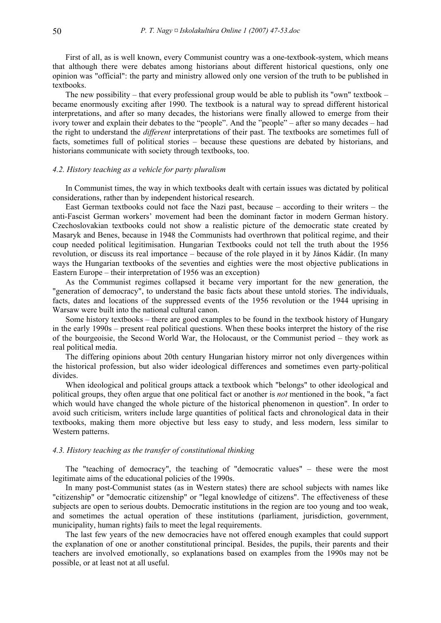First of all, as is well known, every Communist country was a one-textbook-system, which means that although there were debates among historians about different historical questions, only one opinion was "official": the party and ministry allowed only one version of the truth to be published in textbooks.

The new possibility – that every professional group would be able to publish its "own" textbook – became enormously exciting after 1990. The textbook is a natural way to spread different historical interpretations, and after so many decades, the historians were finally allowed to emerge from their ivory tower and explain their debates to the "people". And the "people" – after so many decades – had the right to understand the *different* interpretations of their past. The textbooks are sometimes full of facts, sometimes full of political stories – because these questions are debated by historians, and historians communicate with society through textbooks, too.

## *4.2. History teaching as a vehicle for party pluralism*

In Communist times, the way in which textbooks dealt with certain issues was dictated by political considerations, rather than by independent historical research.

East German textbooks could not face the Nazi past, because – according to their writers – the anti-Fascist German workers' movement had been the dominant factor in modern German history. Czechoslovakian textbooks could not show a realistic picture of the democratic state created by Masaryk and Benes, because in 1948 the Communists had overthrown that political regime, and their coup needed political legitimisation. Hungarian Textbooks could not tell the truth about the 1956 revolution, or discuss its real importance – because of the role played in it by János Kádár. (In many ways the Hungarian textbooks of the seventies and eighties were the most objective publications in Eastern Europe – their interpretation of 1956 was an exception)

As the Communist regimes collapsed it became very important for the new generation, the "generation of democracy", to understand the basic facts about these untold stories. The individuals, facts, dates and locations of the suppressed events of the 1956 revolution or the 1944 uprising in Warsaw were built into the national cultural canon.

Some history textbooks – there are good examples to be found in the textbook history of Hungary in the early 1990s – present real political questions. When these books interpret the history of the rise of the bourgeoisie, the Second World War, the Holocaust, or the Communist period – they work as real political media.

The differing opinions about 20th century Hungarian history mirror not only divergences within the historical profession, but also wider ideological differences and sometimes even party-political divides.

When ideological and political groups attack a textbook which "belongs" to other ideological and political groups, they often argue that one political fact or another is *not* mentioned in the book, "a fact which would have changed the whole picture of the historical phenomenon in question". In order to avoid such criticism, writers include large quantities of political facts and chronological data in their textbooks, making them more objective but less easy to study, and less modern, less similar to Western patterns.

#### *4.3. History teaching as the transfer of constitutional thinking*

The "teaching of democracy", the teaching of "democratic values" – these were the most legitimate aims of the educational policies of the 1990s.

In many post-Communist states (as in Western states) there are school subjects with names like "citizenship" or "democratic citizenship" or "legal knowledge of citizens". The effectiveness of these subjects are open to serious doubts. Democratic institutions in the region are too young and too weak, and sometimes the actual operation of these institutions (parliament, jurisdiction, government, municipality, human rights) fails to meet the legal requirements.

The last few years of the new democracies have not offered enough examples that could support the explanation of one or another constitutional principal. Besides, the pupils, their parents and their teachers are involved emotionally, so explanations based on examples from the 1990s may not be possible, or at least not at all useful.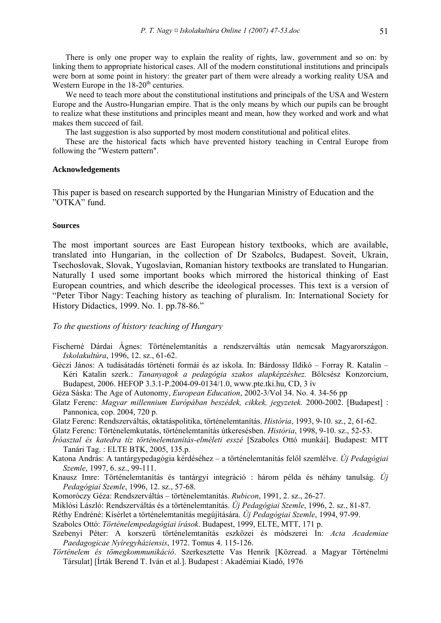There is only one proper way to explain the reality of rights, law, government and so on: by linking them to appropriate historical cases. All of the modern constitutional institutions and principals were born at some point in history: the greater part of them were already a working reality USA and Western Europe in the  $18-20<sup>th</sup>$  centuries.

We need to teach more about the constitutional institutions and principals of the USA and Western Europe and the Austro-Hungarian empire. That is the only means by which our pupils can be brought to realize what these institutions and principles meant and mean, how they worked and work and what makes them succeed of fail.

The last suggestion is also supported by most modern constitutional and political elites.

These are the historical facts which have prevented history teaching in Central Europe from following the "Western pattern".

## **Acknowledgements**

This paper is based on research supported by the Hungarian Ministry of Education and the "OTKA" fund.

## **Sources**

The most important sources are East European history textbooks, which are available, translated into Hungarian, in the collection of Dr Szabolcs, Budapest. Soveit, Ukrain, Tsechoslovak, Slovak, Yugoslavian, Romanian history textbooks are translated to Hungarian. Naturally I used some important books which mirrored the historical thinking of East European countries, and which describe the ideological processes. This text is a version of "Peter Tibor Nagy: Teaching history as teaching of pluralism. In: International Society for History Didactics, 1999. No. 1. pp.78-86."

## *To the questions of history teaching of Hungary*

- Fischerné Dárdai Ágnes: Történelemtanítás a rendszerváltás után nemcsak Magyarországon. *Iskolakultúra*, 1996, 12. sz., 61-62.
- Géczi János: A tudásátadás történeti formái és az iskola. In: Bárdossy Ildikó Forray R. Katalin Kéri Katalin szerk.: *Tananyagok a pedagógia szakos alapképzéshez.* Bölcsész Konzorcium, Budapest, 2006. HEFOP 3.3.1-P.2004-09-0134/1.0, www.pte.tki.hu, CD, 3 ív

Géza Sáska: The Age of Autonomy, *European Education*, 2002-3/Vol 34. No. 4. 34-56 pp

- Glatz Ferenc: *Magyar millennium Európában beszédek, cikkek, jegyzetek.* 2000-2002. [Budapest] : Pannonica, cop. 2004, 720 p.
- Glatz Ferenc: Rendszerváltás, oktatáspolitika, történelemtanítás. *História*, 1993, 9-10. sz., 2, 61-62.
- Glatz Ferenc: Történelemkutatás, történelemtanítás útkeresésben. *História*, 1998, 9-10. sz., 52-53.
- *Íróasztal és katedra tíz történelemtanítás-elméleti esszé* [Szabolcs Ottó munkái]. Budapest: MTT Tanári Tag. : ELTE BTK, 2005, 135.p.
- Katona András: A tantárgypedagógia kérdéséhez a történelemtanítás felől szemlélve. *Új Pedagógiai Szemle*, 1997, 6. sz., 99-111.
- Knausz Imre: Történelemtanítás és tantárgyi integráció : három példa és néhány tanulság. *Új Pedagógiai Szemle*, 1996, 12. sz., 57-68.
- Komoróczy Géza: Rendszerváltás történelemtanítás. *Rubicon*, 1991, 2. sz., 26-27.
- Miklósi László: Rendszerváltás és a történelemtanítás. *Új Pedagógiai Szemle*, 1996, 2. sz., 81-87.
- Réthy Endréné: Kísérlet a történelemtanítás megújítására. *Új Pedagógiai Szemle*, 1994, 97-99.
- Szabolcs Ottó: *Történelempedagógiai írások*. Budapest, 1999, ELTE, MTT, 171 p.
- Szebenyi Péter: A korszerű történelemtanítás eszközei és módszerei In: *Acta Academiae Paedagogicae Nyíregyháziensis*, 1972. Tomus 4. 115-126.
- *Történelem és tömegkommunikáció*. Szerkesztette Vas Henrik [Közread. a Magyar Történelmi Társulat] [Írták Berend T. Iván et al.]. Budapest : Akadémiai Kiadó, 1976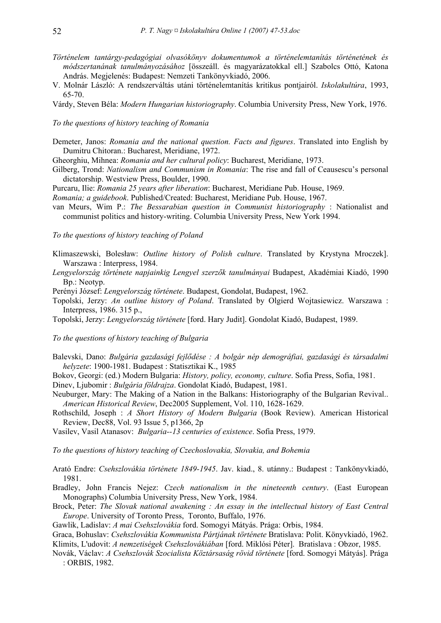- *Történelem tantárgy-pedagógiai olvasókönyv dokumentumok a történelemtanítás történetének és módszertanának tanulmányozásához* [összeáll. és magyarázatokkal ell.] Szabolcs Ottó, Katona András. Megjelenés: Budapest: Nemzeti Tankönyvkiadó, 2006.
- V. Molnár László: A rendszerváltás utáni történelemtanítás kritikus pontjairól. *Iskolakultúra*, 1993, 65-70.
- Várdy, Steven Béla: *Modern Hungarian historiography*. Columbia University Press, New York, 1976.

## *To the questions of history teaching of Romania*

- Demeter, Janos: *Romania and the national question. Facts and figures*. Translated into English by Dumitru Chitoran.: Bucharest, Meridiane, 1972.
- Gheorghiu, Mihnea: *Romania and her cultural policy*: Bucharest, Meridiane, 1973.
- Gilberg, Trond: *Nationalism and Communism in Romania*: The rise and fall of Ceausescu's personal dictatorship. Westview Press, Boulder, 1990.
- Purcaru, Ilie: *Romania 25 years after liberation*: Bucharest, Meridiane Pub. House, 1969.
- *Romania; a guidebook*. Published/Created: Bucharest, Meridiane Pub. House, 1967.
- van Meurs, Wim P.: *The Bessarabian question in Communist historiography* : Nationalist and communist politics and history-writing. Columbia University Press, New York 1994.

## *To the questions of history teaching of Poland*

- Klimaszewski, Bolesław: *Outline history of Polish culture*. Translated by Krystyna Mroczek]. Warszawa : Interpress, 1984.
- *Lengyelország története napjainkig Lengyel szerzők tanulmányai* Budapest, Akadémiai Kiadó, 1990 Bp.: Neotyp.
- Perényi József: *Lengyelország története*. Budapest, Gondolat, Budapest, 1962.
- Topolski, Jerzy: *An outline history of Poland*. Translated by Olgierd Wojtasiewicz. Warszawa : Interpress, 1986. 315 p.,
- Topolski, Jerzy: *Lengyelország története* [ford. Hary Judit]. Gondolat Kiadó, Budapest, 1989.

#### *To the questions of history teaching of Bulgaria*

- Balevski, Dano: *Bulgária gazdasági fejlődése : A bolgár nép demográfiai, gazdasági és társadalmi helyzete*: 1900-1981. Budapest : Statisztikai K., 1985
- Bokov, Georgi: (ed.) Modern Bulgaria: *History, policy, economy, culture*. Sofia Press, Sofia, 1981.
- Dinev, Ljubomir : *Bulgária földrajza*. Gondolat Kiadó, Budapest, 1981.
- Neuburger, Mary: The Making of a Nation in the Balkans: Historiography of the Bulgarian Revival.. *American Historical Review*, Dec2005 Supplement, Vol. 110, 1628-1629.
- Rothschild, Joseph : *A Short History of Modern Bulgaria* (Book Review). American Historical Review, Dec88, Vol. 93 Issue 5, p1366, 2p
- Vasilev, Vasil Atanasov: *Bulgaria--13 centuries of existence*. Sofia Press, 1979.

*To the questions of history teaching of Czechoslovakia, Slovakia, and Bohemia* 

- Arató Endre: *Csehszlovákia története 1849-1945*. Jav. kiad., 8. utánny.: Budapest : Tankönyvkiadó, 1981.
- Bradley, John Francis Nejez: *Czech nationalism in the nineteenth century*. (East European Monographs) Columbia University Press, New York, 1984.
- Brock, Peter: *The Slovak national awakening : An essay in the intellectual history of East Central Europe*. University of Toronto Press, Toronto, Buffalo, 1976.
- Gawlik, Ladislav: *A mai Csehszlovákia* ford. Somogyi Mátyás. Prága: Orbis, 1984.
- Graca, Bohuslav: *Csehszlovákia Kommunista Pártjának története* Bratislava: Polit. Könyvkiadó, 1962. Klimits, L'udovit: *A nemzetiségek Csehszlovákiában* [ford. Miklósi Péter]. Bratislava : Obzor, 1985.
- Novák, Václav: *A Csehszlovák Szocialista Köztársaság rövid története* [ford. Somogyi Mátyás]. Prága : ORBIS, 1982.